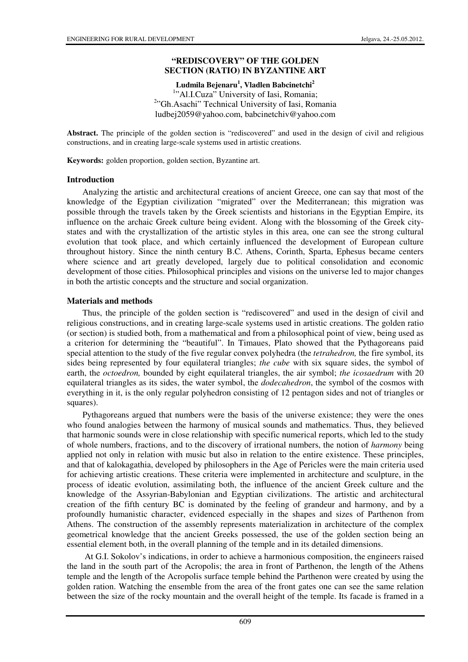## **"REDISCOVERY" OF THE GOLDEN SECTION (RATIO) IN BYZANTINE ART**

**Ludmila Bejenaru<sup>1</sup> , Vladlen Babcinetchi<sup>2</sup>** <sup>1</sup>"Al.I.Cuza" University of Iasi, Romania; <sup>2</sup>"Gh.Asachi" Technical University of Iasi, Romania ludbej2059@yahoo.com, babcinetchiv@yahoo.com

**Abstract.** The principle of the golden section is "rediscovered" and used in the design of civil and religious constructions, and in creating large-scale systems used in artistic creations.

**Keywords:** golden proportion, golden section, Byzantine art.

#### **Introduction**

Analyzing the artistic and architectural creations of ancient Greece, one can say that most of the knowledge of the Egyptian civilization "migrated" over the Mediterranean; this migration was possible through the travels taken by the Greek scientists and historians in the Egyptian Empire, its influence on the archaic Greek culture being evident. Along with the blossoming of the Greek citystates and with the crystallization of the artistic styles in this area, one can see the strong cultural evolution that took place, and which certainly influenced the development of European culture throughout history. Since the ninth century B.C. Athens, Corinth, Sparta, Ephesus became centers where science and art greatly developed, largely due to political consolidation and economic development of those cities. Philosophical principles and visions on the universe led to major changes in both the artistic concepts and the structure and social organization.

#### **Materials and methods**

Thus, the principle of the golden section is "rediscovered" and used in the design of civil and religious constructions, and in creating large-scale systems used in artistic creations. The golden ratio (or section) is studied both, from a mathematical and from a philosophical point of view, being used as a criterion for determining the "beautiful". In Timaues, Plato showed that the Pythagoreans paid special attention to the study of the five regular convex polyhedra (the *tetrahedron,* the fire symbol, its sides being represented by four equilateral triangles; *the cube* with six square sides, the symbol of earth, the *octoedron,* bounded by eight equilateral triangles, the air symbol; *the icosaedrum* with 20 equilateral triangles as its sides, the water symbol, the *dodecahedron*, the symbol of the cosmos with everything in it, is the only regular polyhedron consisting of 12 pentagon sides and not of triangles or squares).

Pythagoreans argued that numbers were the basis of the universe existence; they were the ones who found analogies between the harmony of musical sounds and mathematics. Thus, they believed that harmonic sounds were in close relationship with specific numerical reports, which led to the study of whole numbers, fractions, and to the discovery of irrational numbers, the notion of *harmony* being applied not only in relation with music but also in relation to the entire existence. These principles, and that of kalokagathia, developed by philosophers in the Age of Pericles were the main criteria used for achieving artistic creations. These criteria were implemented in architecture and sculpture, in the process of ideatic evolution, assimilating both, the influence of the ancient Greek culture and the knowledge of the Assyrian-Babylonian and Egyptian civilizations. The artistic and architectural creation of the fifth century BC is dominated by the feeling of grandeur and harmony, and by a profoundly humanistic character, evidenced especially in the shapes and sizes of Parthenon from Athens. The construction of the assembly represents materialization in architecture of the complex geometrical knowledge that the ancient Greeks possessed, the use of the golden section being an essential element both, in the overall planning of the temple and in its detailed dimensions.

 At G.I. Sokolov's indications, in order to achieve a harmonious composition, the engineers raised the land in the south part of the Acropolis; the area in front of Parthenon, the length of the Athens temple and the length of the Acropolis surface temple behind the Parthenon were created by using the golden ration. Watching the ensemble from the area of the front gates one can see the same relation between the size of the rocky mountain and the overall height of the temple. Its facade is framed in a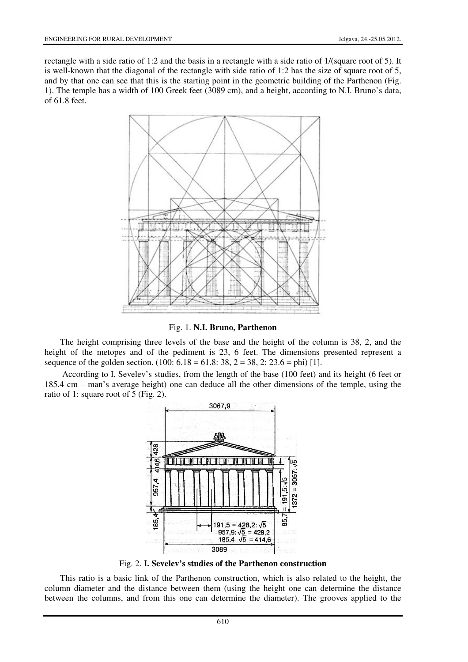rectangle with a side ratio of 1:2 and the basis in a rectangle with a side ratio of 1/(square root of 5). It is well-known that the diagonal of the rectangle with side ratio of 1:2 has the size of square root of 5, and by that one can see that this is the starting point in the geometric building of the Parthenon (Fig. 1). The temple has a width of 100 Greek feet (3089 cm), and a height, according to N.I. Bruno's data, of 61.8 feet.



Fig. 1. **N.I. Bruno, Parthenon** 

The height comprising three levels of the base and the height of the column is 38, 2, and the height of the metopes and of the pediment is 23, 6 feet. The dimensions presented represent a sequence of the golden section.  $(100: 6.18 = 61.8: 38, 2 = 38, 2: 23.6 = \text{phi} \mid 1]$ .

 According to I. Sevelev's studies, from the length of the base (100 feet) and its height (6 feet or 185.4 cm – man's average height) one can deduce all the other dimensions of the temple, using the ratio of 1: square root of 5 (Fig. 2).



Fig. 2. **I. Sevelev's studies of the Parthenon construction**

This ratio is a basic link of the Parthenon construction, which is also related to the height, the column diameter and the distance between them (using the height one can determine the distance between the columns, and from this one can determine the diameter). The grooves applied to the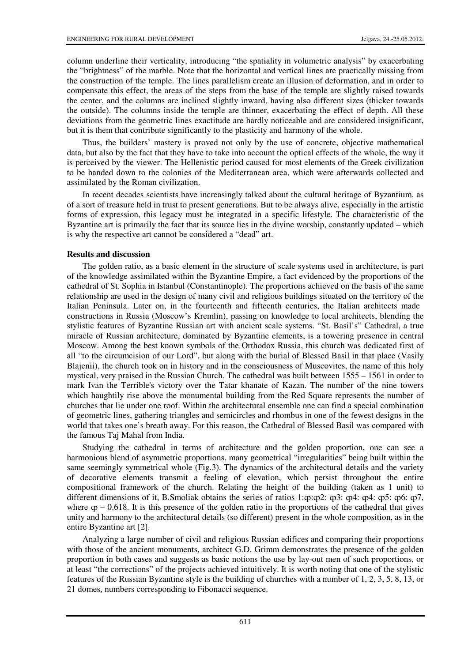column underline their verticality, introducing "the spatiality in volumetric analysis" by exacerbating the "brightness" of the marble. Note that the horizontal and vertical lines are practically missing from the construction of the temple. The lines parallelism create an illusion of deformation, and in order to compensate this effect, the areas of the steps from the base of the temple are slightly raised towards the center, and the columns are inclined slightly inward, having also different sizes (thicker towards the outside). The columns inside the temple are thinner, exacerbating the effect of depth. All these deviations from the geometric lines exactitude are hardly noticeable and are considered insignificant, but it is them that contribute significantly to the plasticity and harmony of the whole.

Thus, the builders' mastery is proved not only by the use of concrete, objective mathematical data, but also by the fact that they have to take into account the optical effects of the whole, the way it is perceived by the viewer. The Hellenistic period caused for most elements of the Greek civilization to be handed down to the colonies of the Mediterranean area, which were afterwards collected and assimilated by the Roman civilization.

In recent decades scientists have increasingly talked about the cultural heritage of Byzantium, as of a sort of treasure held in trust to present generations. But to be always alive, especially in the artistic forms of expression, this legacy must be integrated in a specific lifestyle. The characteristic of the Byzantine art is primarily the fact that its source lies in the divine worship, constantly updated – which is why the respective art cannot be considered a "dead" art.

### **Results and discussion**

The golden ratio, as a basic element in the structure of scale systems used in architecture, is part of the knowledge assimilated within the Byzantine Empire, a fact evidenced by the proportions of the cathedral of St. Sophia in Istanbul (Constantinople). The proportions achieved on the basis of the same relationship are used in the design of many civil and religious buildings situated on the territory of the Italian Peninsula. Later on, in the fourteenth and fifteenth centuries, the Italian architects made constructions in Russia (Moscow's Kremlin), passing on knowledge to local architects, blending the stylistic features of Byzantine Russian art with ancient scale systems. "St. Basil's" Cathedral, a true miracle of Russian architecture, dominated by Byzantine elements, is a towering presence in central Moscow. Among the best known symbols of the Orthodox Russia, this church was dedicated first of all "to the circumcision of our Lord", but along with the burial of Blessed Basil in that place (Vasily Blajenii), the church took on in history and in the consciousness of Muscovites, the name of this holy mystical, very praised in the Russian Church. The cathedral was built between 1555 – 1561 in order to mark Ivan the Terrible's victory over the Tatar khanate of Kazan. The number of the nine towers which haughtily rise above the monumental building from the Red Square represents the number of churches that lie under one roof. Within the architectural ensemble one can find a special combination of geometric lines, gathering triangles and semicircles and rhombus in one of the fewest designs in the world that takes one's breath away. For this reason, the Cathedral of Blessed Basil was compared with the famous Taj Mahal from India.

Studying the cathedral in terms of architecture and the golden proportion, one can see a harmonious blend of asymmetric proportions, many geometrical "irregularities" being built within the same seemingly symmetrical whole (Fig.3). The dynamics of the architectural details and the variety of decorative elements transmit a feeling of elevation, which persist throughout the entire compositional framework of the church. Relating the height of the building (taken as 1 unit) to different dimensions of it, B.Smoliak obtains the series of ratios 1: $\varphi$ : $\varphi$ 2:  $\varphi$ 3:  $\varphi$ 4:  $\varphi$ 4:  $\varphi$ 5:  $\varphi$ 6:  $\varphi$ 7, where  $\varphi$  – 0.618. It is this presence of the golden ratio in the proportions of the cathedral that gives unity and harmony to the architectural details (so different) present in the whole composition, as in the entire Byzantine art [2].

Analyzing a large number of civil and religious Russian edifices and comparing their proportions with those of the ancient monuments, architect G.D. Grimm demonstrates the presence of the golden proportion in both cases and suggests as basic notions the use by lay-out men of such proportions, or at least "the corrections" of the projects achieved intuitively. It is worth noting that one of the stylistic features of the Russian Byzantine style is the building of churches with a number of 1, 2, 3, 5, 8, 13, or 21 domes, numbers corresponding to Fibonacci sequence.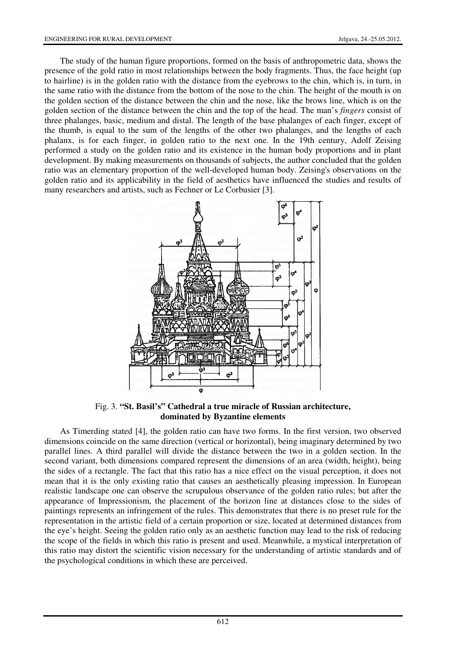The study of the human figure proportions, formed on the basis of anthropometric data, shows the presence of the gold ratio in most relationships between the body fragments. Thus, the face height (up to hairline) is in the golden ratio with the distance from the eyebrows to the chin, which is, in turn, in the same ratio with the distance from the bottom of the nose to the chin. The height of the mouth is on the golden section of the distance between the chin and the nose, like the brows line, which is on the golden section of the distance between the chin and the top of the head. The man's *fingers* consist of three phalanges, basic, medium and distal. The length of the base phalanges of each finger, except of the thumb, is equal to the sum of the lengths of the other two phalanges, and the lengths of each phalanx, is for each finger, in golden ratio to the next one. In the 19th century, Adolf Zeising performed a study on the golden ratio and its existence in the human body proportions and in plant development. By making measurements on thousands of subjects, the author concluded that the golden ratio was an elementary proportion of the well-developed human body. Zeising's observations on the golden ratio and its applicability in the field of aesthetics have influenced the studies and results of many researchers and artists, such as Fechner or Le Corbusier [3].



Fig. 3. **"St. Basil's" Cathedral a true miracle of Russian architecture, dominated by Byzantine elements** 

As Timerding stated [4], the golden ratio can have two forms. In the first version, two observed dimensions coincide on the same direction (vertical or horizontal), being imaginary determined by two parallel lines. A third parallel will divide the distance between the two in a golden section. In the second variant, both dimensions compared represent the dimensions of an area (width, height), being the sides of a rectangle. The fact that this ratio has a nice effect on the visual perception, it does not mean that it is the only existing ratio that causes an aesthetically pleasing impression. In European realistic landscape one can observe the scrupulous observance of the golden ratio rules; but after the appearance of Impressionism, the placement of the horizon line at distances close to the sides of paintings represents an infringement of the rules. This demonstrates that there is no preset rule for the representation in the artistic field of a certain proportion or size, located at determined distances from the eye's height. Seeing the golden ratio only as an aesthetic function may lead to the risk of reducing the scope of the fields in which this ratio is present and used. Meanwhile, a mystical interpretation of this ratio may distort the scientific vision necessary for the understanding of artistic standards and of the psychological conditions in which these are perceived.